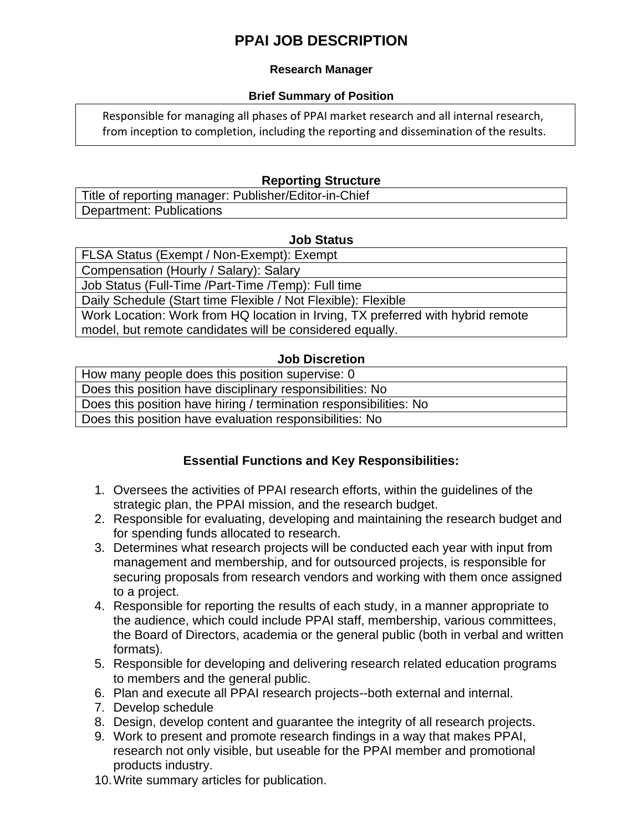# **PPAI JOB DESCRIPTION**

#### **Research Manager**

#### **Brief Summary of Position**

Responsible for managing all phases of PPAI market research and all internal research, from inception to completion, including the reporting and dissemination of the results.

#### **Reporting Structure**

Title of reporting manager: Publisher/Editor-in-Chief Department: Publications

#### **Job Status**

FLSA Status (Exempt / Non-Exempt): Exempt Compensation (Hourly / Salary): Salary Job Status (Full-Time /Part-Time /Temp): Full time Daily Schedule (Start time Flexible / Not Flexible): Flexible Work Location: Work from HQ location in Irving, TX preferred with hybrid remote model, but remote candidates will be considered equally.

#### **Job Discretion**

How many people does this position supervise: 0 Does this position have disciplinary responsibilities: No Does this position have hiring / termination responsibilities: No Does this position have evaluation responsibilities: No

### **Essential Functions and Key Responsibilities:**

- 1. Oversees the activities of PPAI research efforts, within the guidelines of the strategic plan, the PPAI mission, and the research budget.
- 2. Responsible for evaluating, developing and maintaining the research budget and for spending funds allocated to research.
- 3. Determines what research projects will be conducted each year with input from management and membership, and for outsourced projects, is responsible for securing proposals from research vendors and working with them once assigned to a project.
- 4. Responsible for reporting the results of each study, in a manner appropriate to the audience, which could include PPAI staff, membership, various committees, the Board of Directors, academia or the general public (both in verbal and written formats).
- 5. Responsible for developing and delivering research related education programs to members and the general public.
- 6. Plan and execute all PPAI research projects--both external and internal.
- 7. Develop schedule
- 8. Design, develop content and guarantee the integrity of all research projects.
- 9. Work to present and promote research findings in a way that makes PPAI, research not only visible, but useable for the PPAI member and promotional products industry.
- 10.Write summary articles for publication.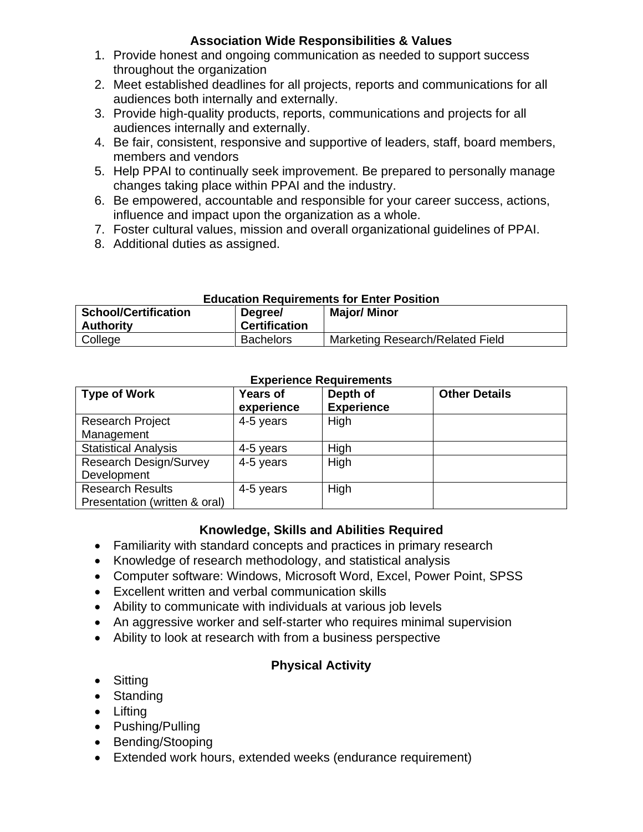### **Association Wide Responsibilities & Values**

- 1. Provide honest and ongoing communication as needed to support success throughout the organization
- 2. Meet established deadlines for all projects, reports and communications for all audiences both internally and externally.
- 3. Provide high-quality products, reports, communications and projects for all audiences internally and externally.
- 4. Be fair, consistent, responsive and supportive of leaders, staff, board members, members and vendors
- 5. Help PPAI to continually seek improvement. Be prepared to personally manage changes taking place within PPAI and the industry.
- 6. Be empowered, accountable and responsible for your career success, actions, influence and impact upon the organization as a whole.
- 7. Foster cultural values, mission and overall organizational guidelines of PPAI.
- 8. Additional duties as assigned.

#### **Education Requirements for Enter Position**

| <b>School/Certification</b><br><b>Authority</b> | Degree/<br><b>Certification</b> | <b>Major/Minor</b>               |
|-------------------------------------------------|---------------------------------|----------------------------------|
| College                                         | <b>Bachelors</b>                | Marketing Research/Related Field |

# **Experience Requirements**

| <b>Type of Work</b>           | <b>Years of</b><br>experience | Depth of<br><b>Experience</b> | <b>Other Details</b> |
|-------------------------------|-------------------------------|-------------------------------|----------------------|
| <b>Research Project</b>       | 4-5 years                     | High                          |                      |
| Management                    |                               |                               |                      |
| <b>Statistical Analysis</b>   | 4-5 years                     | High                          |                      |
| Research Design/Survey        | 4-5 years                     | High                          |                      |
| Development                   |                               |                               |                      |
| <b>Research Results</b>       | 4-5 years                     | High                          |                      |
| Presentation (written & oral) |                               |                               |                      |

## **Knowledge, Skills and Abilities Required**

- Familiarity with standard concepts and practices in primary research
- Knowledge of research methodology, and statistical analysis
- Computer software: Windows, Microsoft Word, Excel, Power Point, SPSS
- Excellent written and verbal communication skills
- Ability to communicate with individuals at various job levels
- An aggressive worker and self-starter who requires minimal supervision
- Ability to look at research with from a business perspective

### **Physical Activity**

- Sitting
- Standing
- Lifting
- Pushing/Pulling
- Bending/Stooping
- Extended work hours, extended weeks (endurance requirement)